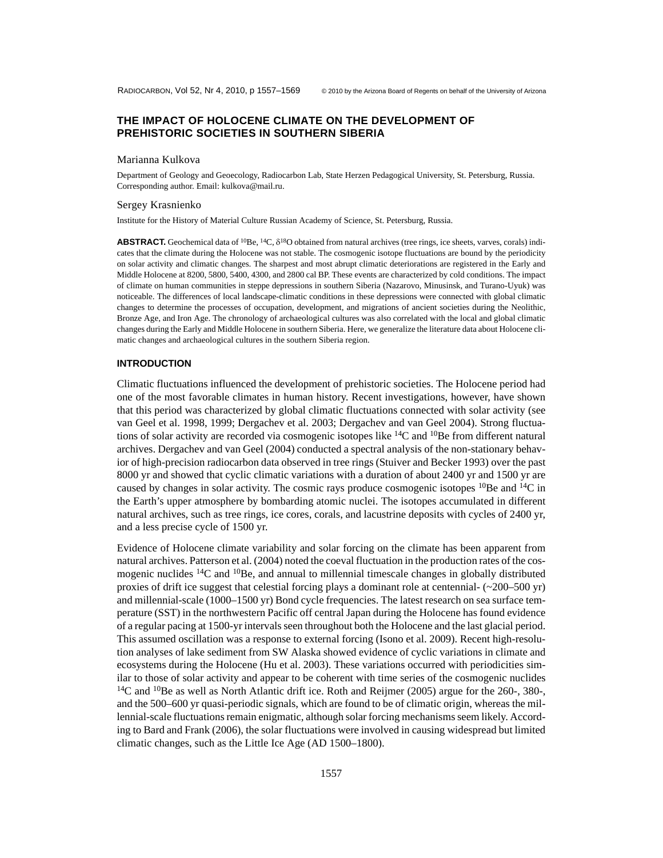# **THE IMPACT OF HOLOCENE CLIMATE ON THE DEVELOPMENT OF PREHISTORIC SOCIETIES IN SOUTHERN SIBERIA**

#### Marianna Kulkova

Department of Geology and Geoecology, Radiocarbon Lab, State Herzen Pedagogical University, St. Petersburg, Russia. Corresponding author. Email: kulkova@mail.ru.

#### Sergey Krasnienko

Institute for the History of Material Culture Russian Academy of Science, St. Petersburg, Russia.

**ABSTRACT.** Geochemical data of <sup>10</sup>Be, <sup>14</sup>C,  $\delta^{18}$ O obtained from natural archives (tree rings, ice sheets, varves, corals) indicates that the climate during the Holocene was not stable. The cosmogenic isotope fluctuations are bound by the periodicity on solar activity and climatic changes. The sharpest and most abrupt climatic deteriorations are registered in the Early and Middle Holocene at 8200, 5800, 5400, 4300, and 2800 cal BP. These events are characterized by cold conditions. The impact of climate on human communities in steppe depressions in southern Siberia (Nazarovo, Minusinsk, and Turano-Uyuk) was noticeable. The differences of local landscape-climatic conditions in these depressions were connected with global climatic changes to determine the processes of occupation, development, and migrations of ancient societies during the Neolithic, Bronze Age, and Iron Age. The chronology of archaeological cultures was also correlated with the local and global climatic changes during the Early and Middle Holocene in southern Siberia. Here, we generalize the literature data about Holocene climatic changes and archaeological cultures in the southern Siberia region.

#### **INTRODUCTION**

Climatic fluctuations influenced the development of prehistoric societies. The Holocene period had one of the most favorable climates in human history. Recent investigations, however, have shown that this period was characterized by global climatic fluctuations connected with solar activity (see van Geel et al. 1998, 1999; Dergachev et al. 2003; Dergachev and van Geel 2004). Strong fluctuations of solar activity are recorded via cosmogenic isotopes like  ${}^{14}C$  and  ${}^{10}Be$  from different natural archives. Dergachev and van Geel (2004) conducted a spectral analysis of the non-stationary behavior of high-precision radiocarbon data observed in tree rings (Stuiver and Becker 1993) over the past 8000 yr and showed that cyclic climatic variations with a duration of about 2400 yr and 1500 yr are caused by changes in solar activity. The cosmic rays produce cosmogenic isotopes  $^{10}$ Be and  $^{14}$ C in the Earth's upper atmosphere by bombarding atomic nuclei. The isotopes accumulated in different natural archives, such as tree rings, ice cores, corals, and lacustrine deposits with cycles of 2400 yr, and a less precise cycle of 1500 yr.

Evidence of Holocene climate variability and solar forcing on the climate has been apparent from natural archives. Patterson et al. (2004) noted the coeval fluctuation in the production rates of the cosmogenic nuclides  $^{14}C$  and  $^{10}Be$ , and annual to millennial timescale changes in globally distributed proxies of drift ice suggest that celestial forcing plays a dominant role at centennial- (~200–500 yr) and millennial-scale (1000–1500 yr) Bond cycle frequencies. The latest research on sea surface temperature (SST) in the northwestern Pacific off central Japan during the Holocene has found evidence of a regular pacing at 1500-yr intervals seen throughout both the Holocene and the last glacial period. This assumed oscillation was a response to external forcing (Isono et al. 2009). Recent high-resolution analyses of lake sediment from SW Alaska showed evidence of cyclic variations in climate and ecosystems during the Holocene (Hu et al. 2003). These variations occurred with periodicities similar to those of solar activity and appear to be coherent with time series of the cosmogenic nuclides <sup>14</sup>C and <sup>10</sup>Be as well as North Atlantic drift ice. Roth and Reijmer (2005) argue for the 260-, 380-, and the 500–600 yr quasi-periodic signals, which are found to be of climatic origin, whereas the millennial-scale fluctuations remain enigmatic, although solar forcing mechanisms seem likely. According to Bard and Frank (2006), the solar fluctuations were involved in causing widespread but limited climatic changes, such as the Little Ice Age (AD 1500–1800).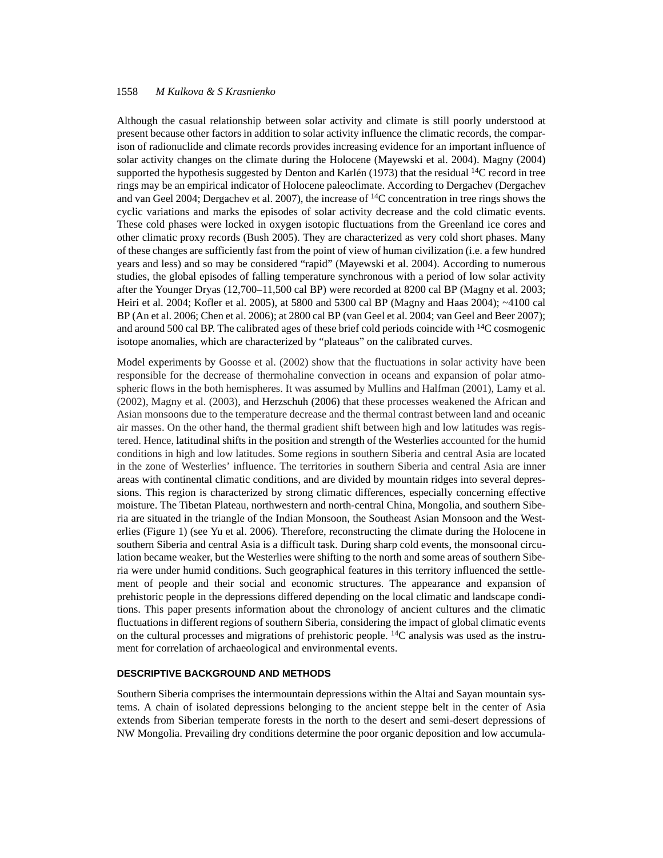Although the casual relationship between solar activity and climate is still poorly understood at present because other factors in addition to solar activity influence the climatic records, the comparison of radionuclide and climate records provides increasing evidence for an important influence of solar activity changes on the climate during the Holocene (Mayewski et al. 2004). Magny (2004) supported the hypothesis suggested by Denton and Karlén (1973) that the residual  $^{14}C$  record in tree rings may be an empirical indicator of Holocene paleoclimate. According to Dergachev (Dergachev and van Geel 2004; Dergachev et al. 2007), the increase of  ${}^{14}C$  concentration in tree rings shows the cyclic variations and marks the episodes of solar activity decrease and the cold climatic events. These cold phases were locked in oxygen isotopic fluctuations from the Greenland ice cores and other climatic proxy records (Bush 2005). They are characterized as very cold short phases. Many of these changes are sufficiently fast from the point of view of human civilization (i.e. a few hundred years and less) and so may be considered "rapid" (Mayewski et al. 2004). According to numerous studies, the global episodes of falling temperature synchronous with a period of low solar activity after the Younger Dryas (12,700–11,500 cal BP) were recorded at 8200 cal BP (Magny et al. 2003; Heiri et al. 2004; Kofler et al. 2005), at 5800 and 5300 cal BP (Magny and Haas 2004); ~4100 cal BP (An et al. 2006; Chen et al. 2006); at 2800 cal BP (van Geel et al. 2004; van Geel and Beer 2007); and around 500 cal BP. The calibrated ages of these brief cold periods coincide with  $\rm{^{14}C}$  cosmogenic isotope anomalies, which are characterized by "plateaus" on the calibrated curves.

Model experiments by Goosse et al. (2002) show that the fluctuations in solar activity have been responsible for the decrease of thermohaline convection in oceans and expansion of polar atmospheric flows in the both hemispheres. It was assumed by Mullins and Halfman (2001), Lamy et al. (2002), Magny et al. (2003), and Herzschuh (2006) that these processes weakened the African and Asian monsoons due to the temperature decrease and the thermal contrast between land and oceanic air masses. On the other hand, the thermal gradient shift between high and low latitudes was registered. Hence, latitudinal shifts in the position and strength of the Westerlies accounted for the humid conditions in high and low latitudes. Some regions in southern Siberia and central Asia are located in the zone of Westerlies' influence. The territories in southern Siberia and central Asia are inner areas with continental climatic conditions, and are divided by mountain ridges into several depressions. This region is characterized by strong climatic differences, especially concerning effective moisture. The Tibetan Plateau, northwestern and north-central China, Mongolia, and southern Siberia are situated in the triangle of the Indian Monsoon, the Southeast Asian Monsoon and the Westerlies (Figure 1) (see Yu et al. 2006). Therefore, reconstructing the climate during the Holocene in southern Siberia and central Asia is a difficult task. During sharp cold events, the monsoonal circulation became weaker, but the Westerlies were shifting to the north and some areas of southern Siberia were under humid conditions. Such geographical features in this territory influenced the settlement of people and their social and economic structures. The appearance and expansion of prehistoric people in the depressions differed depending on the local climatic and landscape conditions. This paper presents information about the chronology of ancient cultures and the climatic fluctuations in different regions of southern Siberia, considering the impact of global climatic events on the cultural processes and migrations of prehistoric people. 14C analysis was used as the instrument for correlation of archaeological and environmental events.

## **DESCRIPTIVE BACKGROUND AND METHODS**

Southern Siberia comprises the intermountain depressions within the Altai and Sayan mountain systems. A chain of isolated depressions belonging to the ancient steppe belt in the center of Asia extends from Siberian temperate forests in the north to the desert and semi-desert depressions of NW Mongolia. Prevailing dry conditions determine the poor organic deposition and low accumula-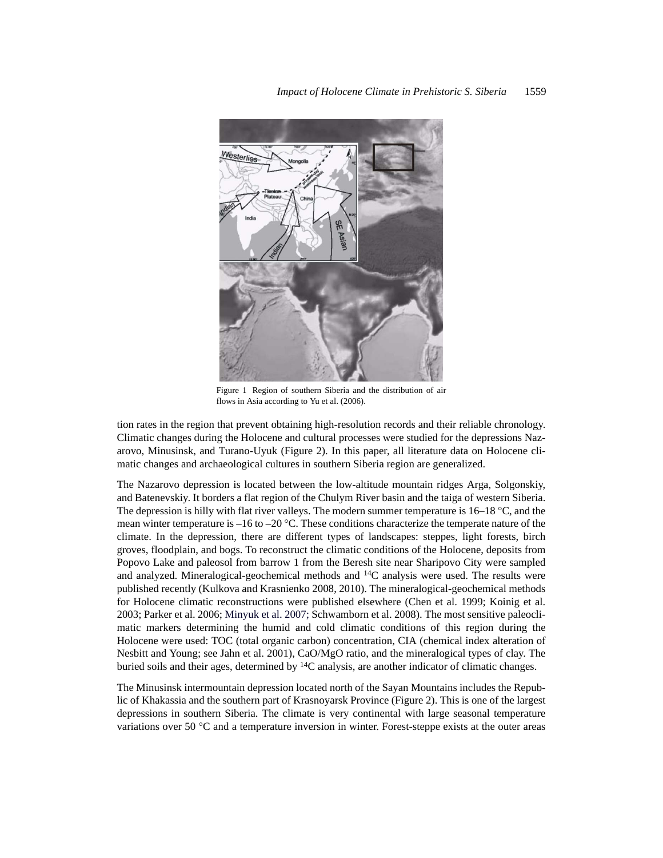

Figure 1 Region of southern Siberia and the distribution of air flows in Asia according to Yu et al. (2006).

tion rates in the region that prevent obtaining high-resolution records and their reliable chronology. Climatic changes during the Holocene and cultural processes were studied for the depressions Nazarovo, Minusinsk, and Turano-Uyuk (Figure 2). In this paper, all literature data on Holocene climatic changes and archaeological cultures in southern Siberia region are generalized.

The Nazarovo depression is located between the low-altitude mountain ridges Arga, Solgonskiy, and Batenevskiy. It borders a flat region of the Chulym River basin and the taiga of western Siberia. The depression is hilly with flat river valleys. The modern summer temperature is  $16-18$  °C, and the mean winter temperature is  $-16$  to  $-20$  °C. These conditions characterize the temperate nature of the climate. In the depression, there are different types of landscapes: steppes, light forests, birch groves, floodplain, and bogs. To reconstruct the climatic conditions of the Holocene, deposits from Popovo Lake and paleosol from barrow 1 from the Beresh site near Sharipovo City were sampled and analyzed. Mineralogical-geochemical methods and <sup>14</sup>C analysis were used. The results were published recently (Kulkova and Krasnienko 2008, 2010). The mineralogical-geochemical methods for Holocene climatic reconstructions were published elsewhere (Chen et al. 1999; Koinig et al. 2003; Parker et al. 2006; Minyuk et al. 2007; Schwamborn et al. 2008). The most sensitive paleoclimatic markers determining the humid and cold climatic conditions of this region during the Holocene were used: TOC (total organic carbon) concentration, CIA (chemical index alteration of Nesbitt and Young; see Jahn et al. 2001), CaO/MgO ratio, and the mineralogical types of clay. The buried soils and their ages, determined by  $\frac{14C}{14}$  analysis, are another indicator of climatic changes.

The Minusinsk intermountain depression located north of the Sayan Mountains includes the Republic of Khakassia and the southern part of Krasnoyarsk Province (Figure 2). This is one of the largest depressions in southern Siberia. The climate is very continental with large seasonal temperature variations over 50  $^{\circ}$ C and a temperature inversion in winter. Forest-steppe exists at the outer areas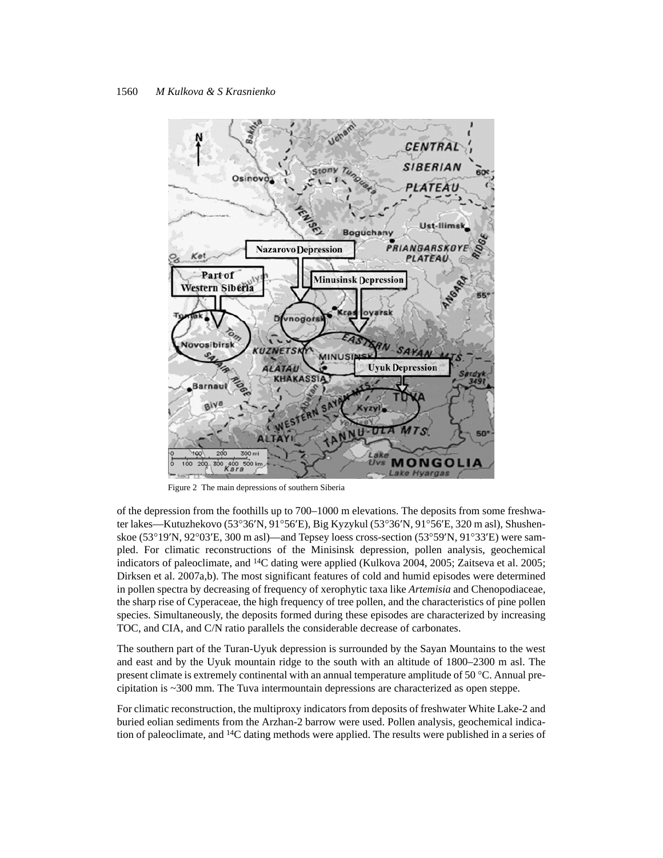

Figure 2 The main depressions of southern Siberia

of the depression from the foothills up to 700–1000 m elevations. The deposits from some freshwater lakes—Kutuzhekovo (53°36'N, 91°56'E), Big Kyzykul (53°36'N, 91°56'E, 320 m asl), Shushenskoe (53°19'N, 92°03'E, 300 m asl)—and Tepsey loess cross-section (53°59'N, 91°33'E) were sampled. For climatic reconstructions of the Minisinsk depression, pollen analysis, geochemical indicators of paleoclimate, and 14C dating were applied (Kulkova 2004, 2005; Zaitseva et al. 2005; Dirksen et al. 2007a,b). The most significant features of cold and humid episodes were determined in pollen spectra by decreasing of frequency of xerophytic taxa like *Artemisia* and Chenopodiaceae, the sharp rise of Cyperaceae, the high frequency of tree pollen, and the characteristics of pine pollen species. Simultaneously, the deposits formed during these episodes are characterized by increasing TOC, and CIA, and C/N ratio parallels the considerable decrease of carbonates.

The southern part of the Turan-Uyuk depression is surrounded by the Sayan Mountains to the west and east and by the Uyuk mountain ridge to the south with an altitude of 1800–2300 m asl. The present climate is extremely continental with an annual temperature amplitude of 50  $^{\circ}$ C. Annual precipitation is ~300 mm. The Tuva intermountain depressions are characterized as open steppe.

For climatic reconstruction, the multiproxy indicators from deposits of freshwater White Lake-2 and buried eolian sediments from the Arzhan-2 barrow were used. Pollen analysis, geochemical indication of paleoclimate, and 14C dating methods were applied. The results were published in a series of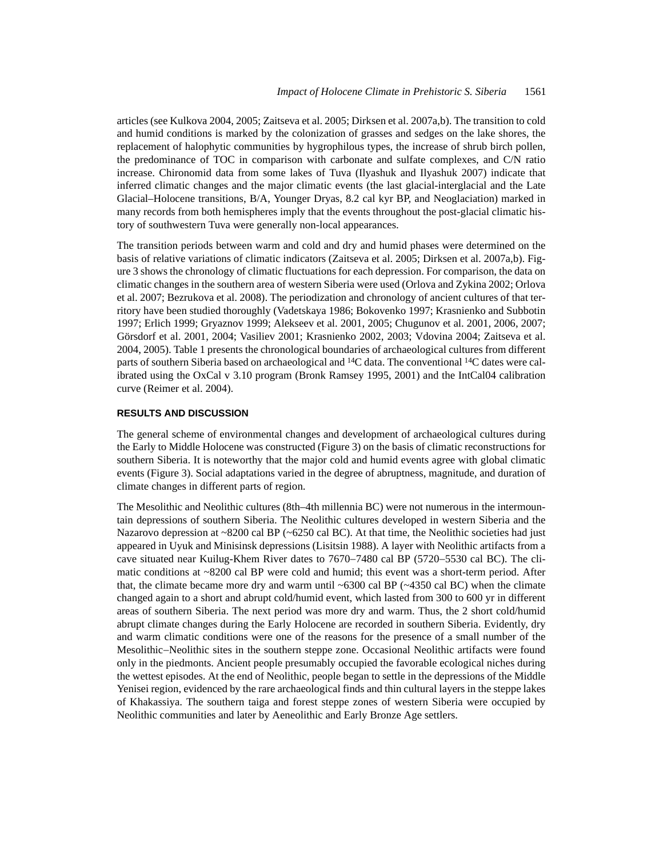articles (see Kulkova 2004, 2005; Zaitseva et al. 2005; Dirksen et al. 2007a,b). The transition to cold and humid conditions is marked by the colonization of grasses and sedges on the lake shores, the replacement of halophytic communities by hygrophilous types, the increase of shrub birch pollen, the predominance of TOC in comparison with carbonate and sulfate complexes, and C/N ratio increase. Chironomid data from some lakes of Tuva (Ilyashuk and Ilyashuk 2007) indicate that inferred climatic changes and the major climatic events (the last glacial-interglacial and the Late Glacial–Holocene transitions, B/A, Younger Dryas, 8.2 cal kyr BP, and Neoglaciation) marked in many records from both hemispheres imply that the events throughout the post-glacial climatic history of southwestern Tuva were generally non-local appearances.

The transition periods between warm and cold and dry and humid phases were determined on the basis of relative variations of climatic indicators (Zaitseva et al. 2005; Dirksen et al. 2007a,b). Figure 3 shows the chronology of climatic fluctuations for each depression. For comparison, the data on climatic changes in the southern area of western Siberia were used (Orlova and Zykina 2002; Orlova et al. 2007; Bezrukova et al. 2008). The periodization and chronology of ancient cultures of that territory have been studied thoroughly (Vadetskaya 1986; Bokovenko 1997; Krasnienko and Subbotin 1997; Erlich 1999; Gryaznov 1999; Alekseev et al. 2001, 2005; Chugunov et al. 2001, 2006, 2007; Görsdorf et al. 2001, 2004; Vasiliev 2001; Krasnienko 2002, 2003; Vdovina 2004; Zaitseva et al. 2004, 2005). Table 1 presents the chronological boundaries of archaeological cultures from different parts of southern Siberia based on archaeological and 14C data. The conventional 14C dates were calibrated using the OxCal v 3.10 program (Bronk Ramsey 1995, 2001) and the IntCal04 calibration curve (Reimer et al. 2004).

## **RESULTS AND DISCUSSION**

The general scheme of environmental changes and development of archaeological cultures during the Early to Middle Holocene was constructed (Figure 3) on the basis of climatic reconstructions for southern Siberia. It is noteworthy that the major cold and humid events agree with global climatic events (Figure 3). Social adaptations varied in the degree of abruptness, magnitude, and duration of climate changes in different parts of region.

The Mesolithic and Neolithic cultures (8th–4th millennia BC) were not numerous in the intermountain depressions of southern Siberia. The Neolithic cultures developed in western Siberia and the Nazarovo depression at  $\sim$ 8200 cal BP ( $\sim$ 6250 cal BC). At that time, the Neolithic societies had just appeared in Uyuk and Minisinsk depressions (Lisitsin 1988). A layer with Neolithic artifacts from a cave situated near Kuilug-Khem River dates to 7670–7480 cal BP (5720–5530 cal BC). The climatic conditions at ~8200 cal BP were cold and humid; this event was a short-term period. After that, the climate became more dry and warm until  $\sim$  6300 cal BP ( $\sim$  4350 cal BC) when the climate changed again to a short and abrupt cold/humid event, which lasted from 300 to 600 yr in different areas of southern Siberia. The next period was more dry and warm. Thus, the 2 short cold/humid abrupt climate changes during the Early Holocene are recorded in southern Siberia. Evidently, dry and warm climatic conditions were one of the reasons for the presence of a small number of the Mesolithic-Neolithic sites in the southern steppe zone. Occasional Neolithic artifacts were found only in the piedmonts. Ancient people presumably occupied the favorable ecological niches during the wettest episodes. At the end of Neolithic, people began to settle in the depressions of the Middle Yenisei region, evidenced by the rare archaeological finds and thin cultural layers in the steppe lakes of Khakassiya. The southern taiga and forest steppe zones of western Siberia were occupied by Neolithic communities and later by Aeneolithic and Early Bronze Age settlers.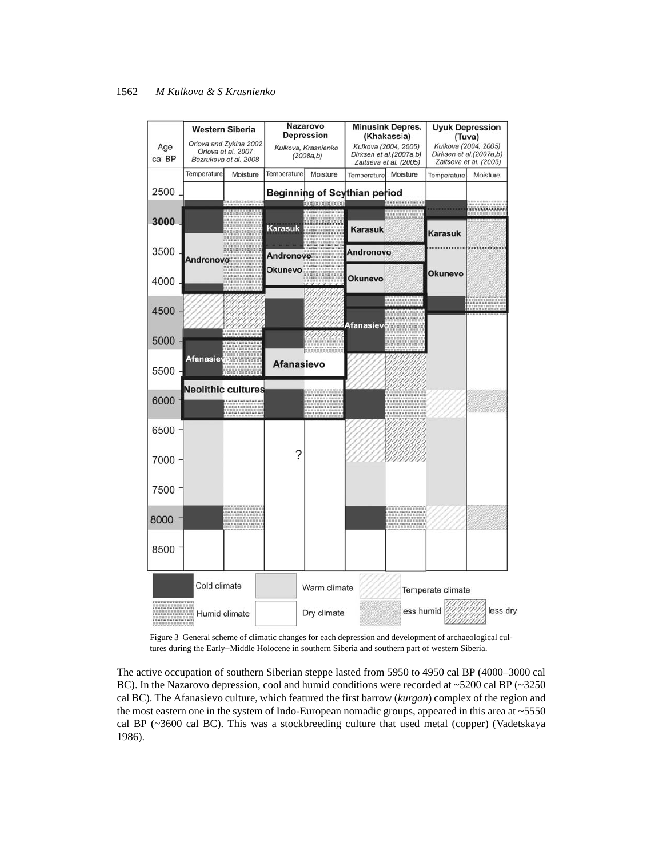

Figure 3 General scheme of climatic changes for each depression and development of archaeological cultures during the Early-Middle Holocene in southern Siberia and southern part of western Siberia.

The active occupation of southern Siberian steppe lasted from 5950 to 4950 cal BP (4000–3000 cal BC). In the Nazarovo depression, cool and humid conditions were recorded at  $\sim$  5200 cal BP ( $\sim$ 3250) cal BC). The Afanasievo culture, which featured the first barrow (*kurgan*) complex of the region and the most eastern one in the system of Indo-European nomadic groups, appeared in this area at  $\sim$  5550 cal BP (~3600 cal BC). This was a stockbreeding culture that used metal (copper) (Vadetskaya 1986).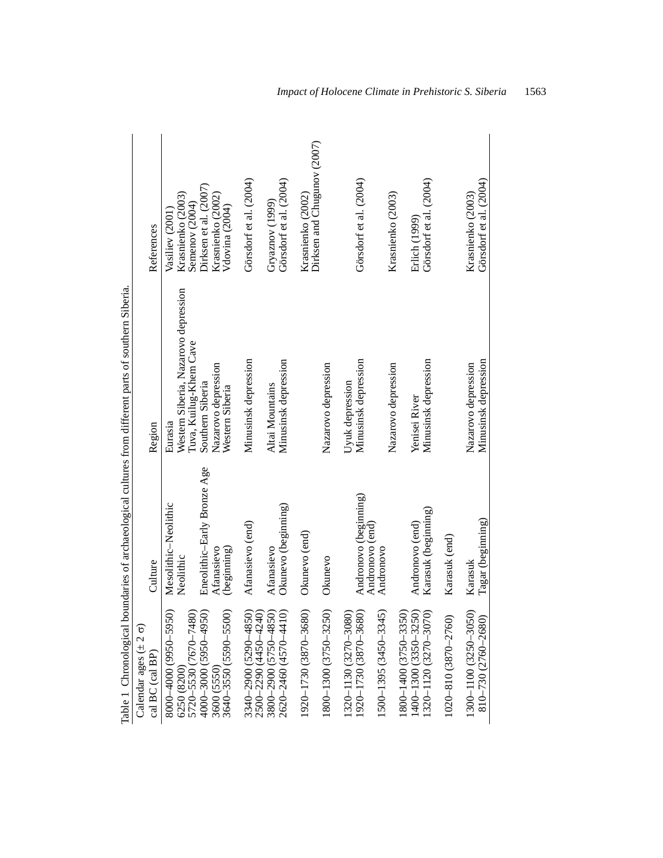| labie 1 Cillonopical D                                                |                                          | participates on the participate of the control of the participate of the participate of the participate of the control of the participate of the participate of the control of the control of the control of the control of th |                                                  |
|-----------------------------------------------------------------------|------------------------------------------|--------------------------------------------------------------------------------------------------------------------------------------------------------------------------------------------------------------------------------|--------------------------------------------------|
| Calendar ages $(\pm 2 \sigma)$<br>cal BC (cal BP)                     | Culture                                  | Region                                                                                                                                                                                                                         | References                                       |
| 8000-4000 (9950-5950<br>6250 (8200)                                   | Mesolithic-Neolithic<br>Neolithic        | Western Siberia, Nazarovo depression<br>Eurasia                                                                                                                                                                                | Krasnienko (2003)<br>Vasiliev (2001)             |
| 5720-5530 (7670-7480)<br>4000-3000 (5950-4950)                        | Eneolithic-Early Bronze Age              | Tuva, Kuilug-Khem Cave<br>Southern Siberia                                                                                                                                                                                     | Dirksen et al. (2007)<br>Semenov $(2004)$        |
| 3640-3550 (5590-5500)<br>3600 (5550)                                  | Afanasievo<br>(beginning)                | Nazarovo depression<br>Western Siberia                                                                                                                                                                                         | Krasnienko (2002)<br>Vdovina (2004)              |
| 3340-2900 (5290-4850<br>2500-2290 (4450-4240                          | Afanasievo (end)                         | Minusinsk depression                                                                                                                                                                                                           | Görsdorf et al. (2004)                           |
| 3800-2900 (5750-4850<br>2620-2460 (4570-4410                          | Okunevo (beginning)<br>Afanasievo        | Minusinsk depression<br>Altai Mountains                                                                                                                                                                                        | Görsdorf et al. (2004)<br>Gryaznov (1999)        |
| 1920-1730 (3870-3680)                                                 | Okunevo (end)                            |                                                                                                                                                                                                                                | Dirksen and Chugunov (2007)<br>Krasnienko (2002) |
| 1800-1300 (3750-3250)                                                 | Okunevo                                  | Nazarovo depression                                                                                                                                                                                                            |                                                  |
| 320-1130 (3270-3080<br>920-1730 (3870-3680                            | Andronovo (beginning)<br>Andronovo (end) | Minusinsk depression<br>Uyuk depression                                                                                                                                                                                        | Görsdorf et al. (2004)                           |
| 1500-1395 (3450-3345                                                  | Andronovo                                | Nazarovo depression                                                                                                                                                                                                            | Krasnienko (2003)                                |
| (400-1300 (3350-3250)<br>800-1400 (3750-3350)<br>320-1120 (3270-3070) | Karasuk (beginning)<br>Andronovo (end)   | Minusinsk depression<br>Yenisei River                                                                                                                                                                                          | Görsdorf et al. (2004)<br>Erlich (1999)          |
| 1020-810 (3870-2760)                                                  | Karasuk (end)                            |                                                                                                                                                                                                                                |                                                  |
| 1300-1100 (3250-3050)<br>810-730 (2760-2680)                          | Tagar (beginning)<br>Karasuk             | Minusinsk depression<br>Nazarovo depression                                                                                                                                                                                    | Görsdorf et al. (2004)<br>Krasnienko (2003)      |

Table 1 Chronological boundaries of archaeological cultures from different parts of southern Siberia. southern Siberia  $\frac{1}{\zeta}$  $+$ Ì m different ras fro of archaeological cultur Table 1 Chronological boundaries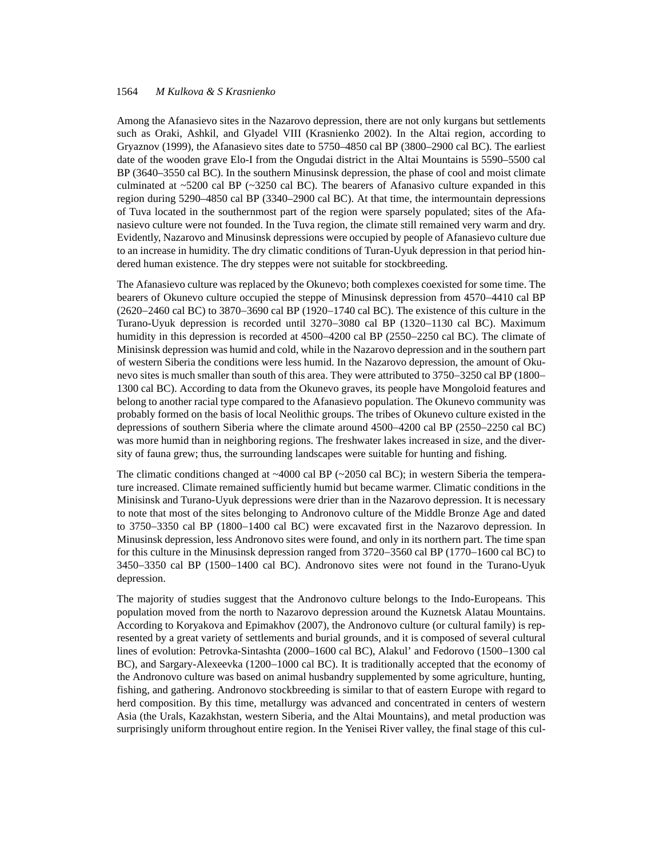Among the Afanasievo sites in the Nazarovo depression, there are not only kurgans but settlements such as Oraki, Ashkil, and Glyadel VIII (Krasnienko 2002). In the Altai region, according to Gryaznov (1999), the Afanasievo sites date to 5750–4850 cal BP (3800–2900 cal BC). The earliest date of the wooden grave Elo-I from the Ongudai district in the Altai Mountains is 5590–5500 cal BP (3640–3550 cal BC). In the southern Minusinsk depression, the phase of cool and moist climate culminated at  $\sim$ 5200 cal BP ( $\sim$ 3250 cal BC). The bearers of Afanasivo culture expanded in this region during 5290–4850 cal BP (3340–2900 cal BC). At that time, the intermountain depressions of Tuva located in the southernmost part of the region were sparsely populated; sites of the Afanasievo culture were not founded. In the Tuva region, the climate still remained very warm and dry. Evidently, Nazarovo and Minusinsk depressions were occupied by people of Afanasievo culture due to an increase in humidity. The dry climatic conditions of Turan-Uyuk depression in that period hindered human existence. The dry steppes were not suitable for stockbreeding.

The Afanasievo culture was replaced by the Okunevo; both complexes coexisted for some time. The bearers of Okunevo culture occupied the steppe of Minusinsk depression from 4570–4410 cal BP  $(2620-2460 \text{ cal } BC)$  to  $3870-3690 \text{ cal } BP$  (1920-1740 cal BC). The existence of this culture in the Turano-Uyuk depression is recorded until 3270-3080 cal BP (1320-1130 cal BC). Maximum humidity in this depression is recorded at  $4500-4200$  cal BP (2550-2250 cal BC). The climate of Minisinsk depression was humid and cold, while in the Nazarovo depression and in the southern part of western Siberia the conditions were less humid. In the Nazarovo depression, the amount of Okunevo sites is much smaller than south of this area. They were attributed to 3750–3250 cal BP (1800– 1300 cal BC). According to data from the Okunevo graves, its people have Mongoloid features and belong to another racial type compared to the Afanasievo population. The Okunevo community was probably formed on the basis of local Neolithic groups. The tribes of Okunevo culture existed in the depressions of southern Siberia where the climate around  $4500-4200$  cal BP ( $2550-2250$  cal BC) was more humid than in neighboring regions. The freshwater lakes increased in size, and the diversity of fauna grew; thus, the surrounding landscapes were suitable for hunting and fishing.

The climatic conditions changed at  $\sim$ 4000 cal BP ( $\sim$ 2050 cal BC); in western Siberia the temperature increased. Climate remained sufficiently humid but became warmer. Climatic conditions in the Minisinsk and Turano-Uyuk depressions were drier than in the Nazarovo depression. It is necessary to note that most of the sites belonging to Andronovo culture of the Middle Bronze Age and dated to 3750–3350 cal BP (1800–1400 cal BC) were excavated first in the Nazarovo depression. In Minusinsk depression, less Andronovo sites were found, and only in its northern part. The time span for this culture in the Minusinsk depression ranged from  $3720-3560$  cal BP (1770-1600 cal BC) to 3450-3350 cal BP (1500-1400 cal BC). Andronovo sites were not found in the Turano-Uyuk depression.

The majority of studies suggest that the Andronovo culture belongs to the Indo-Europeans. This population moved from the north to Nazarovo depression around the Kuznetsk Alatau Mountains. According to Koryakova and Epimakhov (2007), the Andronovo culture (or cultural family) is represented by a great variety of settlements and burial grounds, and it is composed of several cultural lines of evolution: Petrovka-Sintashta (2000–1600 cal BC), Alakul' and Fedorovo (1500–1300 cal BC), and Sargary-Alexeevka (1200–1000 cal BC). It is traditionally accepted that the economy of the Andronovo culture was based on animal husbandry supplemented by some agriculture, hunting, fishing, and gathering. Andronovo stockbreeding is similar to that of eastern Europe with regard to herd composition. By this time, metallurgy was advanced and concentrated in centers of western Asia (the Urals, Kazakhstan, western Siberia, and the Altai Mountains), and metal production was surprisingly uniform throughout entire region. In the Yenisei River valley, the final stage of this cul-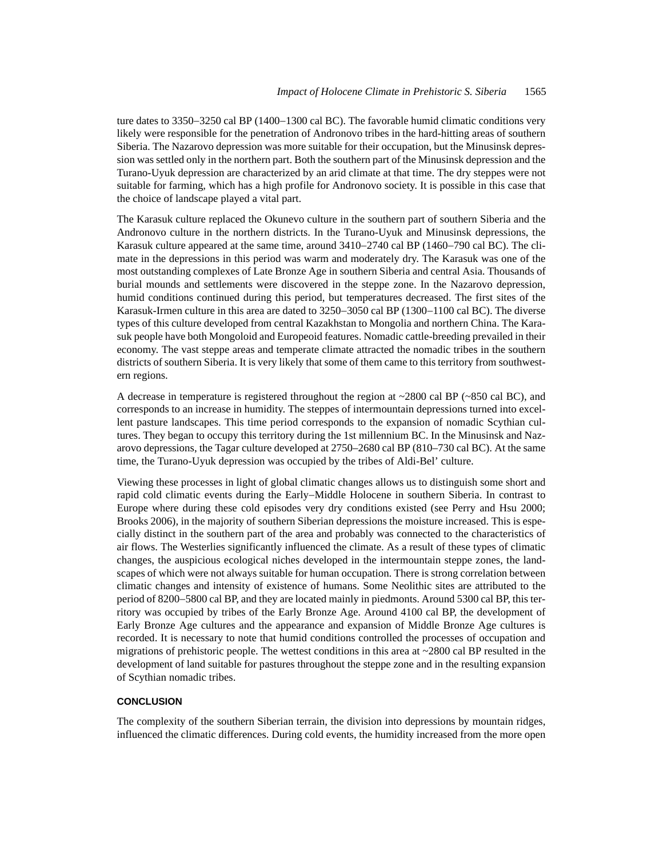ture dates to  $3350-3250$  cal BP (1400-1300 cal BC). The favorable humid climatic conditions very likely were responsible for the penetration of Andronovo tribes in the hard-hitting areas of southern Siberia. The Nazarovo depression was more suitable for their occupation, but the Minusinsk depression was settled only in the northern part. Both the southern part of the Minusinsk depression and the Turano-Uyuk depression are characterized by an arid climate at that time. The dry steppes were not suitable for farming, which has a high profile for Andronovo society. It is possible in this case that the choice of landscape played a vital part.

The Karasuk culture replaced the Okunevo culture in the southern part of southern Siberia and the Andronovo culture in the northern districts. In the Turano-Uyuk and Minusinsk depressions, the Karasuk culture appeared at the same time, around  $3410-2740$  cal BP (1460-790 cal BC). The climate in the depressions in this period was warm and moderately dry. The Karasuk was one of the most outstanding complexes of Late Bronze Age in southern Siberia and central Asia. Thousands of burial mounds and settlements were discovered in the steppe zone. In the Nazarovo depression, humid conditions continued during this period, but temperatures decreased. The first sites of the Karasuk-Irmen culture in this area are dated to  $3250-3050$  cal BP (1300-1100 cal BC). The diverse types of this culture developed from central Kazakhstan to Mongolia and northern China. The Karasuk people have both Mongoloid and Europeoid features. Nomadic cattle-breeding prevailed in their economy. The vast steppe areas and temperate climate attracted the nomadic tribes in the southern districts of southern Siberia. It is very likely that some of them came to this territory from southwestern regions.

A decrease in temperature is registered throughout the region at ~2800 cal BP (~850 cal BC), and corresponds to an increase in humidity. The steppes of intermountain depressions turned into excellent pasture landscapes. This time period corresponds to the expansion of nomadic Scythian cultures. They began to occupy this territory during the 1st millennium BC. In the Minusinsk and Nazarovo depressions, the Tagar culture developed at 2750–2680 cal BP (810–730 cal BC). At the same time, the Turano-Uyuk depression was occupied by the tribes of Aldi-Bel' culture.

Viewing these processes in light of global climatic changes allows us to distinguish some short and rapid cold climatic events during the Early–Middle Holocene in southern Siberia. In contrast to Europe where during these cold episodes very dry conditions existed (see Perry and Hsu 2000; Brooks 2006), in the majority of southern Siberian depressions the moisture increased. This is especially distinct in the southern part of the area and probably was connected to the characteristics of air flows. The Westerlies significantly influenced the climate. As a result of these types of climatic changes, the auspicious ecological niches developed in the intermountain steppe zones, the landscapes of which were not always suitable for human occupation. There is strong correlation between climatic changes and intensity of existence of humans. Some Neolithic sites are attributed to the period of 8200–5800 cal BP, and they are located mainly in piedmonts. Around 5300 cal BP, this territory was occupied by tribes of the Early Bronze Age. Around 4100 cal BP, the development of Early Bronze Age cultures and the appearance and expansion of Middle Bronze Age cultures is recorded. It is necessary to note that humid conditions controlled the processes of occupation and migrations of prehistoric people. The wettest conditions in this area at  $\sim$ 2800 cal BP resulted in the development of land suitable for pastures throughout the steppe zone and in the resulting expansion of Scythian nomadic tribes.

## **CONCLUSION**

The complexity of the southern Siberian terrain, the division into depressions by mountain ridges, influenced the climatic differences. During cold events, the humidity increased from the more open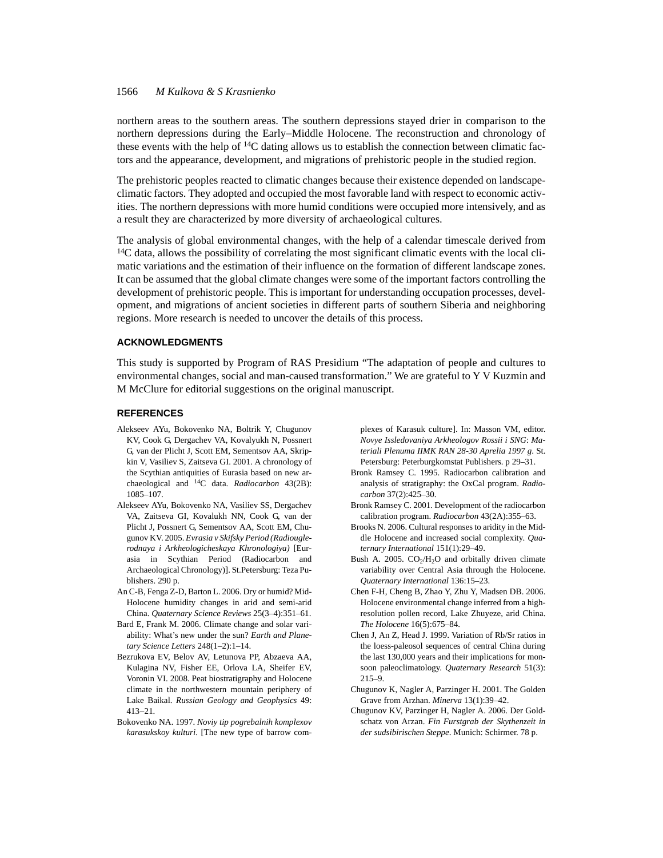northern areas to the southern areas. The southern depressions stayed drier in comparison to the northern depressions during the Early–Middle Holocene. The reconstruction and chronology of these events with the help of <sup>14</sup>C dating allows us to establish the connection between climatic factors and the appearance, development, and migrations of prehistoric people in the studied region.

The prehistoric peoples reacted to climatic changes because their existence depended on landscapeclimatic factors. They adopted and occupied the most favorable land with respect to economic activities. The northern depressions with more humid conditions were occupied more intensively, and as a result they are characterized by more diversity of archaeological cultures.

The analysis of global environmental changes, with the help of a calendar timescale derived from  $14C$  data, allows the possibility of correlating the most significant climatic events with the local climatic variations and the estimation of their influence on the formation of different landscape zones. It can be assumed that the global climate changes were some of the important factors controlling the development of prehistoric people. This is important for understanding occupation processes, development, and migrations of ancient societies in different parts of southern Siberia and neighboring regions. More research is needed to uncover the details of this process.

#### **ACKNOWLEDGMENTS**

This study is supported by Program of RAS Presidium "The adaptation of people and cultures to environmental changes, social and man-caused transformation." We are grateful to Y V Kuzmin and M McClure for editorial suggestions on the original manuscript.

#### **REFERENCES**

- Alekseev AYu, Bokovenko NA, Boltrik Y, Chugunov KV, Cook G, Dergachev VA, Kovalyukh N, Possnert G, van der Plicht J, Scott EM, Sementsov AA, Skripkin V, Vasiliev S, Zaitseva GI. 2001. A chronology of the Scythian antiquities of Eurasia based on new archaeological and 14C data. *Radiocarbon* 43(2B): 1085–107.
- Alekseev AYu, Bokovenko NA, Vasiliev SS, Dergachev VA, Zaitseva GI, Kovalukh NN, Cook G, van der Plicht J, Possnert G, Sementsov AA, Scott EM, Chugunov KV. 2005. *Evrasia v Skifsky Period (Radiouglerodnaya i Arkheologicheskaya Khronologiya)* [Eurasia in Scythian Period (Radiocarbon and Archaeological Chronology)]. St.Petersburg: Teza Publishers. 290 p.
- An C-B, Fenga Z-D, Barton L. 2006. Dry or humid? Mid-Holocene humidity changes in arid and semi-arid China. *Quaternary Science Reviews* 25(3–4):351–61.
- Bard E, Frank M. 2006. Climate change and solar variability: What's new under the sun? *Earth and Planetary Science Letters* 248(1–2):1–14.
- Bezrukova EV, Belov AV, Letunova PP, Abzaeva AA, Kulagina NV, Fisher EE, Orlova LA, Sheifer EV, Voronin VI. 2008. Peat biostratigraphy and Holocene climate in the northwestern mountain periphery of Lake Baikal. *Russian Geology and Geophysics* 49:  $413 - 21$ .
- Bokovenko NA. 1997. *Noviy tip pogrebalnih komplexov karasukskoy kulturi*. [The new type of barrow com-

plexes of Karasuk culture]. In: Masson VM, editor. *Novye Issledovaniya Arkheologov Rossii i SNG*: *Materiali Plenuma IIMK RAN 28-30 Aprelia 1997 g*. St. Petersburg: Peterburgkomstat Publishers. p 29–31.

- Bronk Ramsey C. 1995. Radiocarbon calibration and analysis of stratigraphy: the OxCal program. *Radiocarbon* 37(2):425–30.
- Bronk Ramsey C. 2001. Development of the radiocarbon calibration program. *Radiocarbon* 43(2A):355–63.
- Brooks N. 2006. Cultural responses to aridity in the Middle Holocene and increased social complexity. *Quaternary International* 151(1):29–49.
- Bush A. 2005.  $CO<sub>2</sub>/H<sub>2</sub>O$  and orbitally driven climate variability over Central Asia through the Holocene. *Quaternary International* 136:15–23.
- Chen F-H, Cheng B, Zhao Y, Zhu Y, Madsen DB. 2006. Holocene environmental change inferred from a highresolution pollen record, Lake Zhuyeze, arid China. *The Holocene* 16(5):675–84.
- Chen J, An Z, Head J. 1999. Variation of Rb/Sr ratios in the loess-paleosol sequences of central China during the last 130,000 years and their implications for monsoon paleoclimatology. *Quaternary Research* 51(3): 215–9.
- Chugunov K, Nagler A, Parzinger H. 2001. The Golden Grave from Arzhan. *Minerva* 13(1):39–42.
- Chugunov KV, Parzinger H, Nagler A. 2006. Der Goldschatz von Arzan. *Fin Furstgrab der Skythenzeit in der sudsibirischen Steppe*. Munich: Schirmer. 78 p.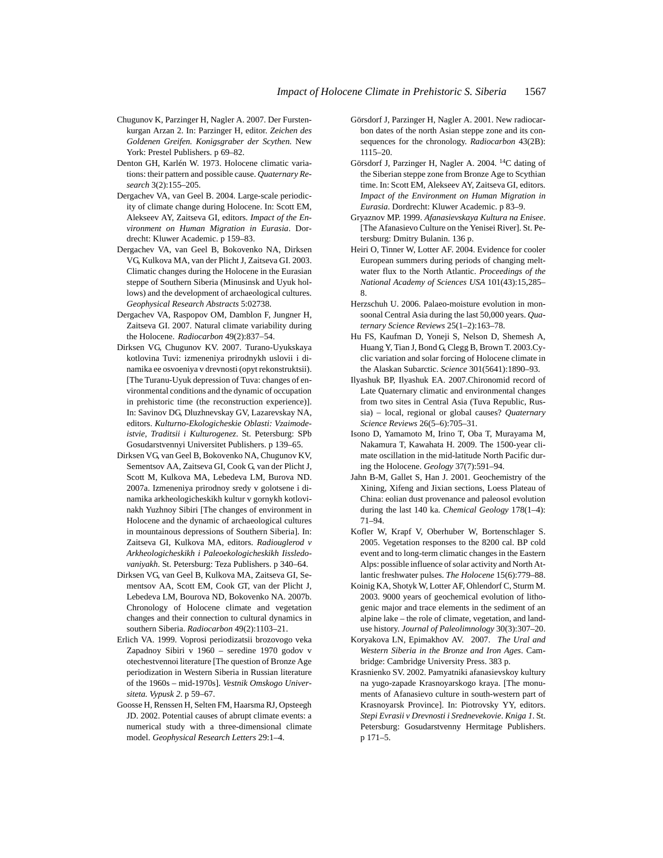- Chugunov K, Parzinger H, Nagler A. 2007. Der Furstenkurgan Arzan 2. In: Parzinger H, editor. *Zeichen des Goldenen Greifen. Konigsgraber der Scythen*. New York: Prestel Publishers. p 69–82.
- Denton GH, Karlén W. 1973. Holocene climatic variations: their pattern and possible cause. *Quaternary Research* 3(2):155–205.
- Dergachev VA, van Geel B. 2004. Large-scale periodicity of climate change during Holocene. In: Scott EM, Alekseev AY, Zaitseva GI, editors. *Impact of the Environment on Human Migration in Eurasia*. Dordrecht: Kluwer Academic. p 159–83.
- Dergachev VA, van Geel B, Bokovenko NA, Dirksen VG, Kulkova MA, van der Plicht J, Zaitseva GI. 2003. Climatic changes during the Holocene in the Eurasian steppe of Southern Siberia (Minusinsk and Uyuk hollows) and the development of archaeological cultures. *Geophysical Research Abstracts* 5:02738.
- Dergachev VA, Raspopov OM, Damblon F, Jungner H, Zaitseva GI. 2007. Natural climate variability during the Holocene. *Radiocarbon* 49(2):837-54.
- Dirksen VG, Chugunov KV. 2007. Turano-Uyukskaya kotlovina Tuvi: izmeneniya prirodnykh uslovii i dinamika ee osvoeniya v drevnosti (opyt rekonstruktsii). [The Turanu-Uyuk depression of Tuva: changes of environmental conditions and the dynamic of occupation in prehistoric time (the reconstruction experience)]. In: Savinov DG, Dluzhnevskay GV, Lazarevskay NA, editors. *Kulturno-Ekologicheskie Oblasti: Vzaimodeistvie, Traditsii i Kulturogenez*. St. Petersburg: SPb Gosudarstvennyi Universitet Publishers. p 139–65.
- Dirksen VG, van Geel B, Bokovenko NA, Chugunov KV, Sementsov AA, Zaitseva GI, Cook G, van der Plicht J, Scott M, Kulkova MA, Lebedeva LM, Burova ND. 2007a. Izmeneniya prirodnoy sredy v golotsene i dinamika arkheologicheskikh kultur v gornykh kotlovinakh Yuzhnoy Sibiri [The changes of environment in Holocene and the dynamic of archaeological cultures in mountainous depressions of Southern Siberia]. In: Zaitseva GI, Kulkova MA, editors. *Radiouglerod v Arkheologicheskikh i Paleoekologicheskikh Iissledovaniyakh*. St. Petersburg: Teza Publishers. p 340–64.
- Dirksen VG, van Geel B, Kulkova MA, Zaitseva GI, Sementsov AA, Scott EM, Cook GT, van der Plicht J, Lebedeva LM, Bourova ND, Bokovenko NA. 2007b. Chronology of Holocene climate and vegetation changes and their connection to cultural dynamics in southern Siberia. *Radiocarbon* 49(2):1103–21.
- Erlich VA. 1999. Voprosi periodizatsii brozovogo veka Zapadnoy Sibiri v 1960 – seredine 1970 godov v otechestvennoi literature [The question of Bronze Age periodization in Western Siberia in Russian literature of the 1960s – mid-1970s]. *Vestnik Omskogo Universiteta. Vypusk 2*. p 59–67.
- Goosse H, Renssen H, Selten FM, Haarsma RJ, Opsteegh JD. 2002. Potential causes of abrupt climate events: a numerical study with a three-dimensional climate model. *Geophysical Research Letters* 29:1–4.
- Görsdorf J, Parzinger H, Nagler A. 2001. New radiocarbon dates of the north Asian steppe zone and its consequences for the chronology. *Radiocarbon* 43(2B): 1115–20.
- Görsdorf J, Parzinger H, Nagler A. 2004. 14C dating of the Siberian steppe zone from Bronze Age to Scythian time. In: Scott EM, Alekseev AY, Zaitseva GI, editors. *Impact of the Environment on Human Migration in Eurasia*. Dordrecht: Kluwer Academic. p 83–9.
- Gryaznov MP. 1999. *Afanasievskaya Kultura na Enisee*. [The Afanasievo Culture on the Yenisei River]. St. Petersburg: Dmitry Bulanin. 136 p.
- Heiri O, Tinner W, Lotter AF. 2004. Evidence for cooler European summers during periods of changing meltwater flux to the North Atlantic. *Proceedings of the National Academy of Sciences USA* 101(43):15,285– 8.
- Herzschuh U. 2006. Palaeo-moisture evolution in monsoonal Central Asia during the last 50,000 years. *Quaternary Science Reviews* 25(1–2):163–78.
- Hu FS, Kaufman D, Yoneji S, Nelson D, Shemesh A, Huang Y, Tian J, Bond G, Clegg B, Brown T. 2003.Cyclic variation and solar forcing of Holocene climate in the Alaskan Subarctic. *Science* 301(5641):1890–93.
- Ilyashuk BP, Ilyashuk EA. 2007.Chironomid record of Late Quaternary climatic and environmental changes from two sites in Central Asia (Tuva Republic, Russia) - local, regional or global causes? *Quaternary Science Reviews* 26(5–6):705–31.
- Isono D, Yamamoto M, Irino T, Oba T, Murayama M, Nakamura T, Kawahata H. 2009. The 1500-year climate oscillation in the mid-latitude North Pacific during the Holocene. *Geology* 37(7):591–94.
- Jahn B-M, Gallet S, Han J. 2001. Geochemistry of the Xining, Xifeng and Jixian sections, Loess Plateau of China: eolian dust provenance and paleosol evolution during the last 140 ka. *Chemical Geology* 178(1–4): 71–94.
- Kofler W, Krapf V, Oberhuber W, Bortenschlager S. 2005. Vegetation responses to the 8200 cal. BP cold event and to long-term climatic changes in the Eastern Alps: possible influence of solar activity and North Atlantic freshwater pulses. *The Holocene* 15(6):779–88.
- Koinig KA, Shotyk W, Lotter AF, Ohlendorf C, Sturm M. 2003. 9000 years of geochemical evolution of lithogenic major and trace elements in the sediment of an alpine lake – the role of climate, vegetation, and landuse history. *Journal of Paleolimnology* 30(3):307–20.
- Koryakova LN, Epimakhov AV. 2007. *The Ural and Western Siberia in the Bronze and Iron Ages*. Cambridge: Cambridge University Press. 383 p.
- Krasnienko SV. 2002. Pamyatniki afanasievskoy kultury na yugo-zapade Krasnoyarskogo kraya. [The monuments of Afanasievo culture in south-western part of Krasnoyarsk Province]. In: Piotrovsky YY, editors. *Stepi Evrasii v Drevnosti i Srednevekovie*. *Kniga 1*. St. Petersburg: Gosudarstvenny Hermitage Publishers. p 171–5.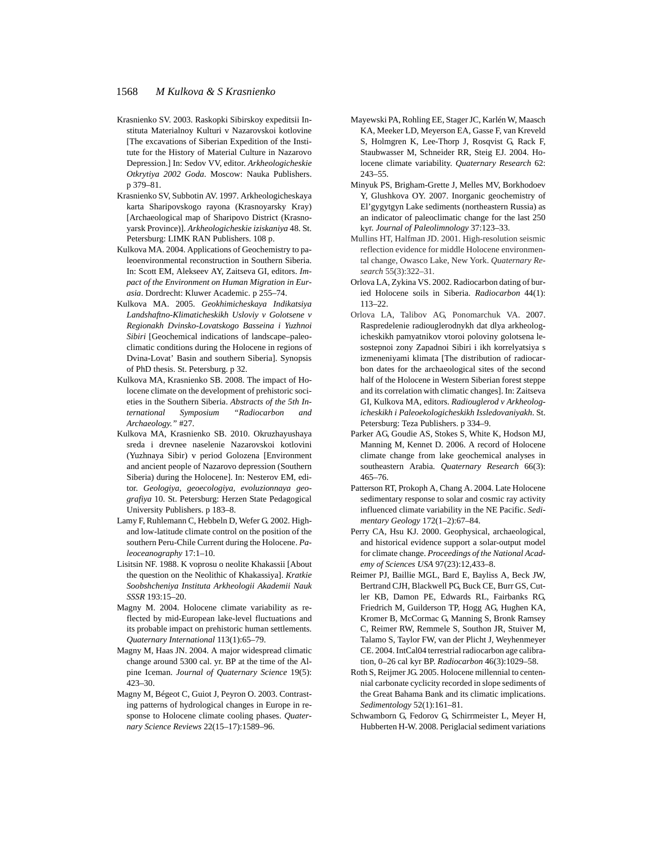- Krasnienko SV. 2003. Raskopki Sibirskoy expeditsii Instituta Materialnoy Kulturi v Nazarovskoi kotlovine [The excavations of Siberian Expedition of the Institute for the History of Material Culture in Nazarovo Depression.] In: Sedov VV, editor. *Arkheologicheskie Otkrytiya 2002 Goda*. Moscow: Nauka Publishers. p 379–81.
- Krasnienko SV, Subbotin AV. 1997. Arkheologicheskaya karta Sharipovskogo rayona (Krasnoyarsky Kray) [Archaeological map of Sharipovo District (Krasnoyarsk Province)]. *Arkheologicheskie iziskaniya* 48. St. Petersburg: LIMK RAN Publishers. 108 p.
- Kulkova MA. 2004. Applications of Geochemistry to paleoenvironmental reconstruction in Southern Siberia. In: Scott EM, Alekseev AY, Zaitseva GI, editors. *Impact of the Environment on Human Migration in Eurasia*. Dordrecht: Kluwer Academic. p 255–74.
- Kulkova MA. 2005. *Geokhimicheskaya Indikatsiya Landshaftno-Klimaticheskikh Usloviy v Golotsene v Regionakh Dvinsko-Lovatskogo Basseina i Yuzhnoi Sibiri* [Geochemical indications of landscape–paleoclimatic conditions during the Holocene in regions of Dvina-Lovat' Basin and southern Siberia]. Synopsis of PhD thesis. St. Petersburg. p 32.
- Kulkova MA, Krasnienko SB. 2008. The impact of Holocene climate on the development of prehistoric societies in the Southern Siberia. *Abstracts of the 5th International Symposium "Radiocarbon and Archaeology."* #27.
- Kulkova MA, Krasnienko SB. 2010. Okruzhayushaya sreda i drevnee naselenie Nazarovskoi kotlovini (Yuzhnaya Sibir) v period Golozena [Environment and ancient people of Nazarovo depression (Southern Siberia) during the Holocene]. In: Nesterov EM, editor. *Geologiya, geoecologiya, evoluzionnaya geografiya* 10. St. Petersburg: Herzen State Pedagogical University Publishers. p 183–8.
- Lamy F, Ruhlemann C, Hebbeln D, Wefer G. 2002. Highand low-latitude climate control on the position of the southern Peru-Chile Current during the Holocene. *Paleoceanography* 17:1–10.
- Lisitsin NF. 1988. K voprosu o neolite Khakassii [About the question on the Neolithic of Khakassiya]. *Kratkie Soobshcheniya Instituta Arkheologii Akademii Nauk SSSR* 193:15–20.
- Magny M. 2004. Holocene climate variability as reflected by mid-European lake-level fluctuations and its probable impact on prehistoric human settlements. *Quaternary International* 113(1):65–79.
- Magny M, Haas JN. 2004. A major widespread climatic change around 5300 cal. yr. BP at the time of the Alpine Iceman. *Journal of Quaternary Science* 19(5): 423–30.
- Magny M, Bégeot C, Guiot J, Peyron O. 2003. Contrasting patterns of hydrological changes in Europe in response to Holocene climate cooling phases. *Quaternary Science Reviews* 22(15–17):1589–96.
- Mayewski PA, Rohling EE, Stager JC, Karlén W, Maasch KA, Meeker LD, Meyerson EA, Gasse F, van Kreveld S, Holmgren K, Lee-Thorp J, Rosqvist G, Rack F, Staubwasser M, Schneider RR, Steig EJ. 2004. Holocene climate variability. *Quaternary Research* 62: 243–55.
- Minyuk PS, Brigham-Grette J, Melles MV, Borkhodoev Y, Glushkova OY. 2007. Inorganic geochemistry of El'gygytgyn Lake sediments (northeastern Russia) as an indicator of paleoclimatic change for the last 250 kyr. *Journal of Paleolimnology* 37:123–33.
- Mullins HT, Halfman JD. 2001. High-resolution seismic reflection evidence for middle Holocene environmental change, Owasco Lake, New York. *Quaternary Research* 55(3):322–31.
- Orlova LA, Zykina VS. 2002. Radiocarbon dating of buried Holocene soils in Siberia. *Radiocarbon* 44(1): 113–22.
- Orlova LA, Talibov AG, Ponomarchuk VA. 2007. Raspredelenie radiouglerodnykh dat dlya arkheologicheskikh pamyatnikov vtoroi poloviny golotsena lesostepnoi zony Zapadnoi Sibiri i ikh korrelyatsiya s izmeneniyami klimata [The distribution of radiocarbon dates for the archaeological sites of the second half of the Holocene in Western Siberian forest steppe and its correlation with climatic changes]. In: Zaitseva GI, Kulkova MA, editors. *Radiouglerod v Arkheologicheskikh i Paleoekologicheskikh Issledovaniyakh*. St. Petersburg: Teza Publishers. p 334–9.
- Parker AG, Goudie AS, Stokes S, White K, Hodson MJ, Manning M, Kennet D. 2006. A record of Holocene climate change from lake geochemical analyses in southeastern Arabia. *Quaternary Research* 66(3): 465–76.
- Patterson RT, Prokoph A, Chang A. 2004. Late Holocene sedimentary response to solar and cosmic ray activity influenced climate variability in the NE Pacific. *Sedimentary Geology* 172(1–2):67–84.
- Perry CA, Hsu KJ. 2000. Geophysical, archaeological, and historical evidence support a solar-output model for climate change. *Proceedings of the National Academy of Sciences USA* 97(23):12,433–8.
- Reimer PJ, Baillie MGL, Bard E, Bayliss A, Beck JW, Bertrand CJH, Blackwell PG, Buck CE, Burr GS, Cutler KB, Damon PE, Edwards RL, Fairbanks RG, Friedrich M, Guilderson TP, Hogg AG, Hughen KA, Kromer B, McCormac G, Manning S, Bronk Ramsey C, Reimer RW, Remmele S, Southon JR, Stuiver M, Talamo S, Taylor FW, van der Plicht J, Weyhenmeyer CE. 2004. IntCal04 terrestrial radiocarbon age calibration, 0–26 cal kyr BP. *Radiocarbon* 46(3):1029–58.
- Roth S, Reijmer JG. 2005. Holocene millennial to centennial carbonate cyclicity recorded in slope sediments of the Great Bahama Bank and its climatic implications. *Sedimentology* 52(1):161–81.
- Schwamborn G, Fedorov G, Schirrmeister L, Meyer H, Hubberten H-W. 2008. Periglacial sediment variations